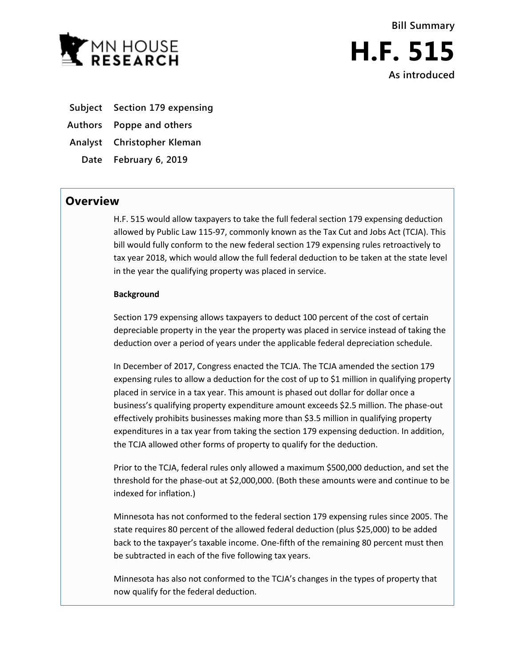

- **Subject Section 179 expensing**
- **Authors Poppe and others**
- **Analyst Christopher Kleman**
- **Date February 6, 2019**

## **Overview**

H.F. 515 would allow taxpayers to take the full federal section 179 expensing deduction allowed by Public Law 115-97, commonly known as the Tax Cut and Jobs Act (TCJA). This bill would fully conform to the new federal section 179 expensing rules retroactively to tax year 2018, which would allow the full federal deduction to be taken at the state level in the year the qualifying property was placed in service.

## **Background**

Section 179 expensing allows taxpayers to deduct 100 percent of the cost of certain depreciable property in the year the property was placed in service instead of taking the deduction over a period of years under the applicable federal depreciation schedule.

In December of 2017, Congress enacted the TCJA. The TCJA amended the section 179 expensing rules to allow a deduction for the cost of up to \$1 million in qualifying property placed in service in a tax year. This amount is phased out dollar for dollar once a business's qualifying property expenditure amount exceeds \$2.5 million. The phase-out effectively prohibits businesses making more than \$3.5 million in qualifying property expenditures in a tax year from taking the section 179 expensing deduction. In addition, the TCJA allowed other forms of property to qualify for the deduction.

Prior to the TCJA, federal rules only allowed a maximum \$500,000 deduction, and set the threshold for the phase-out at \$2,000,000. (Both these amounts were and continue to be indexed for inflation.)

Minnesota has not conformed to the federal section 179 expensing rules since 2005. The state requires 80 percent of the allowed federal deduction (plus \$25,000) to be added back to the taxpayer's taxable income. One-fifth of the remaining 80 percent must then be subtracted in each of the five following tax years.

Minnesota has also not conformed to the TCJA's changes in the types of property that now qualify for the federal deduction.